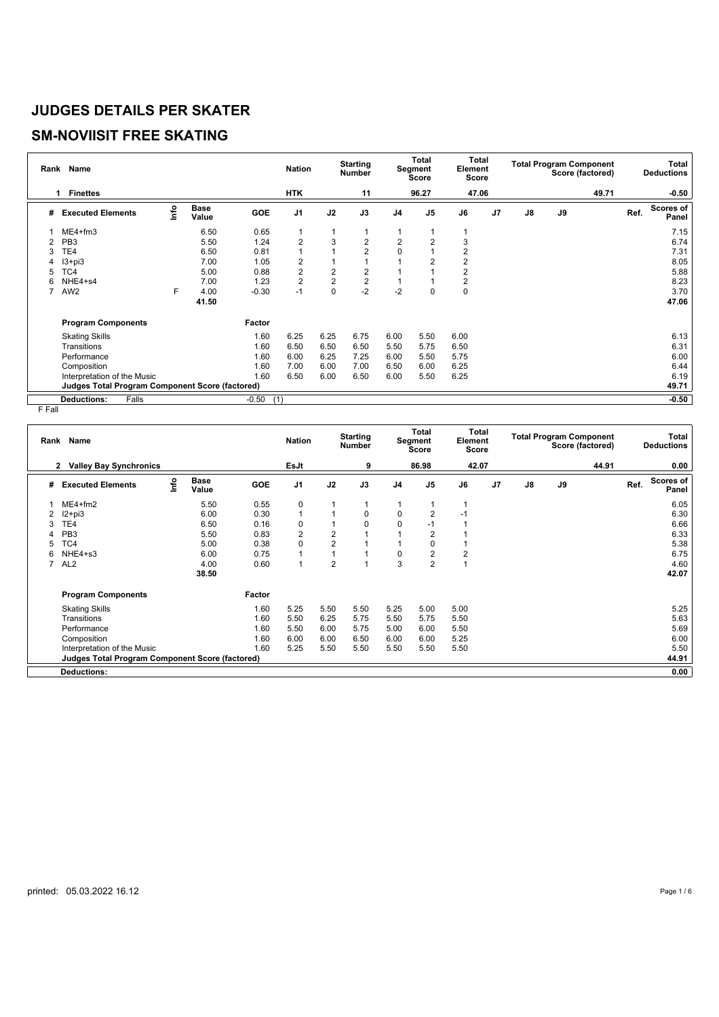# **SM-NOVIISIT FREE SKATING**

| Rank | <b>Name</b>                                            |      |                      |            | <b>Nation</b>  |                | <b>Starting</b><br><b>Number</b> |                | <b>Total</b><br>Segment<br><b>Score</b> | Total<br>Element<br><b>Score</b> |                |    |    | <b>Total Program Component</b><br>Score (factored) |      | <b>Total</b><br><b>Deductions</b> |
|------|--------------------------------------------------------|------|----------------------|------------|----------------|----------------|----------------------------------|----------------|-----------------------------------------|----------------------------------|----------------|----|----|----------------------------------------------------|------|-----------------------------------|
|      | <b>Finettes</b><br>1                                   |      |                      |            | <b>HTK</b>     |                | 11                               |                | 96.27                                   | 47.06                            |                |    |    | 49.71                                              |      | $-0.50$                           |
| #    | <b>Executed Elements</b>                               | Info | <b>Base</b><br>Value | <b>GOE</b> | J <sub>1</sub> | J2             | J3                               | J <sub>4</sub> | J <sub>5</sub>                          | J6                               | J <sub>7</sub> | J8 | J9 |                                                    | Ref. | <b>Scores of</b><br>Panel         |
|      | $ME4+fm3$                                              |      | 6.50                 | 0.65       | 1              | 1              |                                  |                |                                         |                                  |                |    |    |                                                    |      | 7.15                              |
| 2    | PB <sub>3</sub>                                        |      | 5.50                 | 1.24       | $\overline{2}$ | 3              | 2                                | $\overline{2}$ | 2                                       | 3                                |                |    |    |                                                    |      | 6.74                              |
| 3    | TE4                                                    |      | 6.50                 | 0.81       | $\overline{1}$ | ۸              | $\overline{2}$                   | 0              |                                         | 2                                |                |    |    |                                                    |      | 7.31                              |
| 4    | $13 + pi3$                                             |      | 7.00                 | 1.05       | 2              |                |                                  |                |                                         | $\overline{2}$                   |                |    |    |                                                    |      | 8.05                              |
| 5    | TC4                                                    |      | 5.00                 | 0.88       | 2              | 2              | $\overline{2}$                   |                |                                         | $\overline{2}$                   |                |    |    |                                                    |      | 5.88                              |
| 6    | NHE4+s4                                                |      | 7.00                 | 1.23       | $\overline{2}$ | $\overline{2}$ | $\overline{2}$                   |                |                                         | 2                                |                |    |    |                                                    |      | 8.23                              |
|      | AW <sub>2</sub>                                        | F    | 4.00                 | $-0.30$    | $-1$           | $\mathbf 0$    | $-2$                             | $-2$           | 0                                       | 0                                |                |    |    |                                                    |      | 3.70                              |
|      |                                                        |      | 41.50                |            |                |                |                                  |                |                                         |                                  |                |    |    |                                                    |      | 47.06                             |
|      | <b>Program Components</b>                              |      |                      | Factor     |                |                |                                  |                |                                         |                                  |                |    |    |                                                    |      |                                   |
|      | <b>Skating Skills</b>                                  |      |                      | 1.60       | 6.25           | 6.25           | 6.75                             | 6.00           | 5.50                                    | 6.00                             |                |    |    |                                                    |      | 6.13                              |
|      | Transitions                                            |      |                      | 1.60       | 6.50           | 6.50           | 6.50                             | 5.50           | 5.75                                    | 6.50                             |                |    |    |                                                    |      | 6.31                              |
|      | Performance                                            |      |                      | 1.60       | 6.00           | 6.25           | 7.25                             | 6.00           | 5.50                                    | 5.75                             |                |    |    |                                                    |      | 6.00                              |
|      | Composition                                            |      |                      | 1.60       | 7.00           | 6.00           | 7.00                             | 6.50           | 6.00                                    | 6.25                             |                |    |    |                                                    |      | 6.44                              |
|      | Interpretation of the Music                            |      |                      | 1.60       | 6.50           | 6.00           | 6.50                             | 6.00           | 5.50                                    | 6.25                             |                |    |    |                                                    |      | 6.19                              |
|      | <b>Judges Total Program Component Score (factored)</b> |      |                      |            |                |                |                                  |                |                                         |                                  |                |    |    |                                                    |      | 49.71                             |
|      | Falls<br><b>Deductions:</b>                            |      |                      | $-0.50$    | (1)            |                |                                  |                |                                         |                                  |                |    |    |                                                    |      | $-0.50$                           |

| 86.98<br>42.07<br>44.91<br>EsJt<br>9<br>0.00<br><b>Valley Bay Synchronics</b><br>2<br><b>Scores of</b><br>١nfo<br><b>Base</b><br>J <sub>1</sub><br>Ref.<br>J2<br>J9<br>J3<br>J <sub>5</sub><br>$\mathsf{J}8$<br>GOE<br>J6<br>J <sub>7</sub><br>J4<br><b>Executed Elements</b><br>#<br>Value<br>Panel<br>$ME4 + fm2$<br>$\mathbf 0$<br>6.05<br>5.50<br>0.55<br>1<br>$\mathbf 0$<br>$\mathbf 0$<br>6.30<br>$12+pi3$<br>6.00<br>0.30<br>$\overline{2}$<br>$-1$<br>2<br>$\mathbf 0$<br>0<br>6.66<br>6.50<br>0.16<br>$\mathbf 0$<br>TE4<br>$\overline{2}$<br>$\overline{2}$<br>6.33<br>PB <sub>3</sub><br>5.50<br>0.83<br>2<br>$\overline{2}$<br>5.38<br>TC4<br>5.00<br>0.38<br>$\Omega$<br>$\Omega$<br>$\overline{2}$<br>6.75<br>NHE4+s3<br>0.75<br>0<br>6.00<br>2<br>6<br>$\overline{2}$<br>$\overline{2}$<br>3<br>4.60<br>7<br>AL <sub>2</sub><br>4.00<br>0.60<br>1<br>42.07<br>38.50<br><b>Program Components</b><br>Factor<br>5.25<br>5.50<br>5.50<br><b>Skating Skills</b><br>1.60<br>5.25<br>5.25<br>5.00<br>5.00<br>5.63<br>1.60<br>5.50<br>6.25<br>5.50<br>Transitions<br>5.75<br>5.50<br>5.75<br>1.60<br>5.69<br>5.50<br>6.00<br>Performance<br>5.75<br>5.00<br>6.00<br>5.50<br>1.60<br>6.00<br>6.00<br>6.00<br>5.25<br>Composition<br>6.50<br>6.00<br>6.00<br>1.60<br>5.25<br>5.50<br>Interpretation of the Music<br>5.50<br>5.50<br>5.50<br>5.50<br>5.50<br>44.91<br><b>Judges Total Program Component Score (factored)</b><br>0.00<br><b>Deductions:</b> | Rank Name |  | <b>Nation</b> | <b>Starting</b><br><b>Number</b> | Total<br>Segment<br><b>Score</b> | Element<br>Score | Total | <b>Total Program Component</b> | Score (factored) | Total<br><b>Deductions</b> |
|------------------------------------------------------------------------------------------------------------------------------------------------------------------------------------------------------------------------------------------------------------------------------------------------------------------------------------------------------------------------------------------------------------------------------------------------------------------------------------------------------------------------------------------------------------------------------------------------------------------------------------------------------------------------------------------------------------------------------------------------------------------------------------------------------------------------------------------------------------------------------------------------------------------------------------------------------------------------------------------------------------------------------------------------------------------------------------------------------------------------------------------------------------------------------------------------------------------------------------------------------------------------------------------------------------------------------------------------------------------------------------------------------------------------------------------------------------------|-----------|--|---------------|----------------------------------|----------------------------------|------------------|-------|--------------------------------|------------------|----------------------------|
|                                                                                                                                                                                                                                                                                                                                                                                                                                                                                                                                                                                                                                                                                                                                                                                                                                                                                                                                                                                                                                                                                                                                                                                                                                                                                                                                                                                                                                                                  |           |  |               |                                  |                                  |                  |       |                                |                  |                            |
|                                                                                                                                                                                                                                                                                                                                                                                                                                                                                                                                                                                                                                                                                                                                                                                                                                                                                                                                                                                                                                                                                                                                                                                                                                                                                                                                                                                                                                                                  |           |  |               |                                  |                                  |                  |       |                                |                  |                            |
|                                                                                                                                                                                                                                                                                                                                                                                                                                                                                                                                                                                                                                                                                                                                                                                                                                                                                                                                                                                                                                                                                                                                                                                                                                                                                                                                                                                                                                                                  |           |  |               |                                  |                                  |                  |       |                                |                  |                            |
|                                                                                                                                                                                                                                                                                                                                                                                                                                                                                                                                                                                                                                                                                                                                                                                                                                                                                                                                                                                                                                                                                                                                                                                                                                                                                                                                                                                                                                                                  |           |  |               |                                  |                                  |                  |       |                                |                  |                            |
|                                                                                                                                                                                                                                                                                                                                                                                                                                                                                                                                                                                                                                                                                                                                                                                                                                                                                                                                                                                                                                                                                                                                                                                                                                                                                                                                                                                                                                                                  |           |  |               |                                  |                                  |                  |       |                                |                  |                            |
|                                                                                                                                                                                                                                                                                                                                                                                                                                                                                                                                                                                                                                                                                                                                                                                                                                                                                                                                                                                                                                                                                                                                                                                                                                                                                                                                                                                                                                                                  |           |  |               |                                  |                                  |                  |       |                                |                  |                            |
|                                                                                                                                                                                                                                                                                                                                                                                                                                                                                                                                                                                                                                                                                                                                                                                                                                                                                                                                                                                                                                                                                                                                                                                                                                                                                                                                                                                                                                                                  |           |  |               |                                  |                                  |                  |       |                                |                  |                            |
|                                                                                                                                                                                                                                                                                                                                                                                                                                                                                                                                                                                                                                                                                                                                                                                                                                                                                                                                                                                                                                                                                                                                                                                                                                                                                                                                                                                                                                                                  |           |  |               |                                  |                                  |                  |       |                                |                  |                            |
|                                                                                                                                                                                                                                                                                                                                                                                                                                                                                                                                                                                                                                                                                                                                                                                                                                                                                                                                                                                                                                                                                                                                                                                                                                                                                                                                                                                                                                                                  |           |  |               |                                  |                                  |                  |       |                                |                  |                            |
|                                                                                                                                                                                                                                                                                                                                                                                                                                                                                                                                                                                                                                                                                                                                                                                                                                                                                                                                                                                                                                                                                                                                                                                                                                                                                                                                                                                                                                                                  |           |  |               |                                  |                                  |                  |       |                                |                  |                            |
|                                                                                                                                                                                                                                                                                                                                                                                                                                                                                                                                                                                                                                                                                                                                                                                                                                                                                                                                                                                                                                                                                                                                                                                                                                                                                                                                                                                                                                                                  |           |  |               |                                  |                                  |                  |       |                                |                  |                            |
|                                                                                                                                                                                                                                                                                                                                                                                                                                                                                                                                                                                                                                                                                                                                                                                                                                                                                                                                                                                                                                                                                                                                                                                                                                                                                                                                                                                                                                                                  |           |  |               |                                  |                                  |                  |       |                                |                  |                            |
|                                                                                                                                                                                                                                                                                                                                                                                                                                                                                                                                                                                                                                                                                                                                                                                                                                                                                                                                                                                                                                                                                                                                                                                                                                                                                                                                                                                                                                                                  |           |  |               |                                  |                                  |                  |       |                                |                  |                            |
|                                                                                                                                                                                                                                                                                                                                                                                                                                                                                                                                                                                                                                                                                                                                                                                                                                                                                                                                                                                                                                                                                                                                                                                                                                                                                                                                                                                                                                                                  |           |  |               |                                  |                                  |                  |       |                                |                  |                            |
|                                                                                                                                                                                                                                                                                                                                                                                                                                                                                                                                                                                                                                                                                                                                                                                                                                                                                                                                                                                                                                                                                                                                                                                                                                                                                                                                                                                                                                                                  |           |  |               |                                  |                                  |                  |       |                                |                  |                            |
|                                                                                                                                                                                                                                                                                                                                                                                                                                                                                                                                                                                                                                                                                                                                                                                                                                                                                                                                                                                                                                                                                                                                                                                                                                                                                                                                                                                                                                                                  |           |  |               |                                  |                                  |                  |       |                                |                  |                            |
|                                                                                                                                                                                                                                                                                                                                                                                                                                                                                                                                                                                                                                                                                                                                                                                                                                                                                                                                                                                                                                                                                                                                                                                                                                                                                                                                                                                                                                                                  |           |  |               |                                  |                                  |                  |       |                                |                  |                            |
|                                                                                                                                                                                                                                                                                                                                                                                                                                                                                                                                                                                                                                                                                                                                                                                                                                                                                                                                                                                                                                                                                                                                                                                                                                                                                                                                                                                                                                                                  |           |  |               |                                  |                                  |                  |       |                                |                  |                            |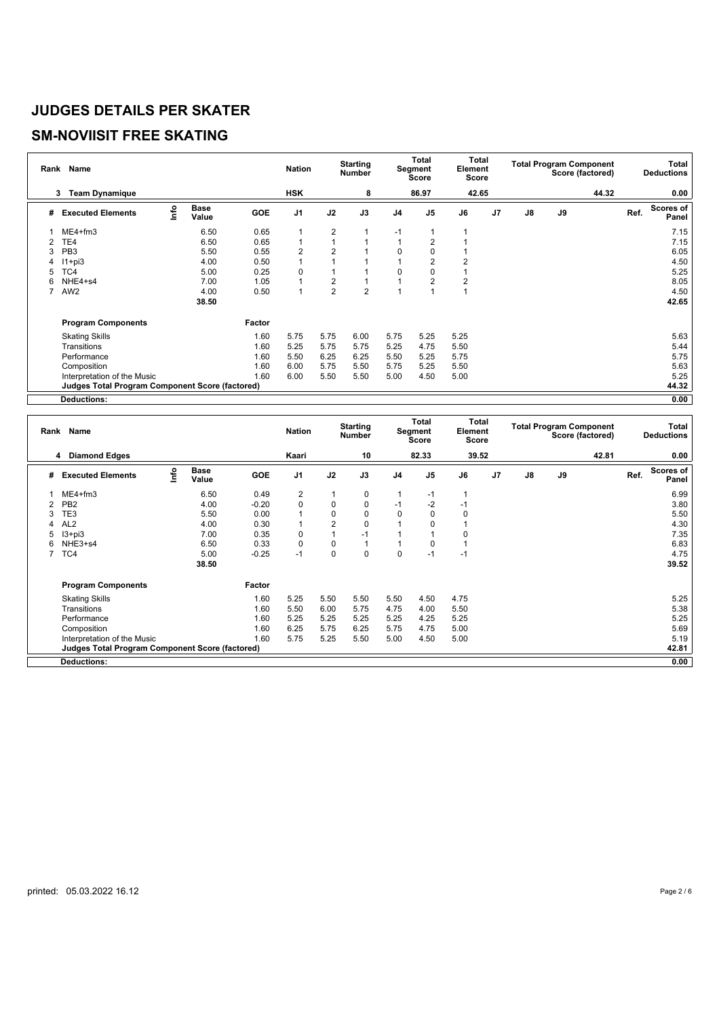#### **SM-NOVIISIT FREE SKATING**

|   | Rank Name                                              |      |                      |        | <b>Nation</b>  |                | <b>Starting</b><br><b>Number</b> |                | Total<br>Segment<br><b>Score</b> | Total<br>Element<br><b>Score</b> |                |               |    | <b>Total Program Component</b><br>Score (factored) |      | <b>Total</b><br><b>Deductions</b> |
|---|--------------------------------------------------------|------|----------------------|--------|----------------|----------------|----------------------------------|----------------|----------------------------------|----------------------------------|----------------|---------------|----|----------------------------------------------------|------|-----------------------------------|
|   | <b>Team Dynamique</b><br>3                             |      |                      |        | <b>HSK</b>     |                | 8                                |                | 86.97                            | 42.65                            |                |               |    | 44.32                                              |      | 0.00                              |
| # | <b>Executed Elements</b>                               | info | <b>Base</b><br>Value | GOE    | J <sub>1</sub> | J2             | J3                               | J <sub>4</sub> | J <sub>5</sub>                   | J6                               | J <sub>7</sub> | $\mathsf{J}8$ | J9 |                                                    | Ref. | Scores of<br>Panel                |
|   | $ME4 + fm3$                                            |      | 6.50                 | 0.65   | 1              | 2              |                                  | $-1$           |                                  |                                  |                |               |    |                                                    |      | 7.15                              |
|   | TE4                                                    |      | 6.50                 | 0.65   | 1              |                |                                  |                | 2                                |                                  |                |               |    |                                                    |      | 7.15                              |
| 3 | PB <sub>3</sub>                                        |      | 5.50                 | 0.55   | 2              | 2              |                                  | 0              | 0                                |                                  |                |               |    |                                                    |      | 6.05                              |
| 4 | $11 + pi3$                                             |      | 4.00                 | 0.50   |                |                |                                  |                | 2                                |                                  |                |               |    |                                                    |      | 4.50                              |
| 5 | TC4                                                    |      | 5.00                 | 0.25   | 0              |                |                                  | O              | 0                                |                                  |                |               |    |                                                    |      | 5.25                              |
| 6 | NHE4+s4                                                |      | 7.00                 | 1.05   |                | $\overline{2}$ |                                  |                | $\overline{2}$                   | 2                                |                |               |    |                                                    |      | 8.05                              |
|   | AW <sub>2</sub>                                        |      | 4.00                 | 0.50   | $\overline{1}$ | $\overline{2}$ | $\overline{2}$                   |                |                                  |                                  |                |               |    |                                                    |      | 4.50                              |
|   |                                                        |      | 38.50                |        |                |                |                                  |                |                                  |                                  |                |               |    |                                                    |      | 42.65                             |
|   | <b>Program Components</b>                              |      |                      | Factor |                |                |                                  |                |                                  |                                  |                |               |    |                                                    |      |                                   |
|   | <b>Skating Skills</b>                                  |      |                      | 1.60   | 5.75           | 5.75           | 6.00                             | 5.75           | 5.25                             | 5.25                             |                |               |    |                                                    |      | 5.63                              |
|   | Transitions                                            |      |                      | 1.60   | 5.25           | 5.75           | 5.75                             | 5.25           | 4.75                             | 5.50                             |                |               |    |                                                    |      | 5.44                              |
|   | Performance                                            |      |                      | 1.60   | 5.50           | 6.25           | 6.25                             | 5.50           | 5.25                             | 5.75                             |                |               |    |                                                    |      | 5.75                              |
|   | Composition                                            |      |                      | 1.60   | 6.00           | 5.75           | 5.50                             | 5.75           | 5.25                             | 5.50                             |                |               |    |                                                    |      | 5.63                              |
|   | Interpretation of the Music                            |      |                      | 1.60   | 6.00           | 5.50           | 5.50                             | 5.00           | 4.50                             | 5.00                             |                |               |    |                                                    |      | 5.25                              |
|   | <b>Judges Total Program Component Score (factored)</b> |      |                      |        |                |                |                                  |                |                                  |                                  |                |               |    |                                                    |      | 44.32                             |
|   | <b>Deductions:</b>                                     |      |                      |        |                |                |                                  |                |                                  |                                  |                |               |    |                                                    |      | 0.00                              |

|   | Rank Name                                              |      |                      |         | <b>Nation</b>  |                | <b>Starting</b><br><b>Number</b> |                | Total<br>Segment<br><b>Score</b> | Element<br><b>Score</b> | <b>Total</b>   |               |    | <b>Total Program Component</b><br>Score (factored) |      | <b>Total</b><br><b>Deductions</b> |
|---|--------------------------------------------------------|------|----------------------|---------|----------------|----------------|----------------------------------|----------------|----------------------------------|-------------------------|----------------|---------------|----|----------------------------------------------------|------|-----------------------------------|
|   | <b>Diamond Edges</b><br>4                              |      |                      |         | Kaari          |                | 10                               |                | 82.33                            |                         | 39.52          |               |    | 42.81                                              |      | 0.00                              |
| # | <b>Executed Elements</b>                               | lnfo | <b>Base</b><br>Value | GOE     | J <sub>1</sub> | J2             | J3                               | J <sub>4</sub> | J <sub>5</sub>                   | J6                      | J <sub>7</sub> | $\mathsf{J}8$ | J9 |                                                    | Ref. | Scores of<br>Panel                |
|   | $ME4 + fm3$                                            |      | 6.50                 | 0.49    | $\overline{2}$ |                | $\mathbf 0$                      |                | $-1$                             |                         |                |               |    |                                                    |      | 6.99                              |
|   | PB <sub>2</sub>                                        |      | 4.00                 | $-0.20$ | 0              | 0              | $\pmb{0}$                        | $-1$           | $-2$                             | -1                      |                |               |    |                                                    |      | 3.80                              |
|   | TE3                                                    |      | 5.50                 | 0.00    |                | $\mathbf 0$    | $\mathbf 0$                      | $\Omega$       | 0                                | $\Omega$                |                |               |    |                                                    |      | 5.50                              |
|   | AL <sub>2</sub>                                        |      | 4.00                 | 0.30    | 1              | $\overline{2}$ | $\mathbf 0$                      |                | $\Omega$                         |                         |                |               |    |                                                    |      | 4.30                              |
|   | $13 + pi3$                                             |      | 7.00                 | 0.35    | 0              |                | $-1$                             |                |                                  | $\Omega$                |                |               |    |                                                    |      | 7.35                              |
| 6 | NHE3+s4                                                |      | 6.50                 | 0.33    | $\mathbf 0$    | 0              |                                  |                | 0                                |                         |                |               |    |                                                    |      | 6.83                              |
|   | TC4                                                    |      | 5.00                 | $-0.25$ | $-1$           | $\mathbf 0$    | $\mathbf 0$                      | 0              | $-1$                             | -1                      |                |               |    |                                                    |      | 4.75                              |
|   |                                                        |      | 38.50                |         |                |                |                                  |                |                                  |                         |                |               |    |                                                    |      | 39.52                             |
|   | <b>Program Components</b>                              |      |                      | Factor  |                |                |                                  |                |                                  |                         |                |               |    |                                                    |      |                                   |
|   | <b>Skating Skills</b>                                  |      |                      | 1.60    | 5.25           | 5.50           | 5.50                             | 5.50           | 4.50                             | 4.75                    |                |               |    |                                                    |      | 5.25                              |
|   | Transitions                                            |      |                      | 1.60    | 5.50           | 6.00           | 5.75                             | 4.75           | 4.00                             | 5.50                    |                |               |    |                                                    |      | 5.38                              |
|   | Performance                                            |      |                      | 1.60    | 5.25           | 5.25           | 5.25                             | 5.25           | 4.25                             | 5.25                    |                |               |    |                                                    |      | 5.25                              |
|   | Composition                                            |      |                      | 1.60    | 6.25           | 5.75           | 6.25                             | 5.75           | 4.75                             | 5.00                    |                |               |    |                                                    |      | 5.69                              |
|   | Interpretation of the Music                            |      |                      | 1.60    | 5.75           | 5.25           | 5.50                             | 5.00           | 4.50                             | 5.00                    |                |               |    |                                                    |      | 5.19                              |
|   | <b>Judges Total Program Component Score (factored)</b> |      |                      |         |                |                |                                  |                |                                  |                         |                |               |    |                                                    |      | 42.81                             |
|   | <b>Deductions:</b>                                     |      |                      |         |                |                |                                  |                |                                  |                         |                |               |    |                                                    |      | 0.00                              |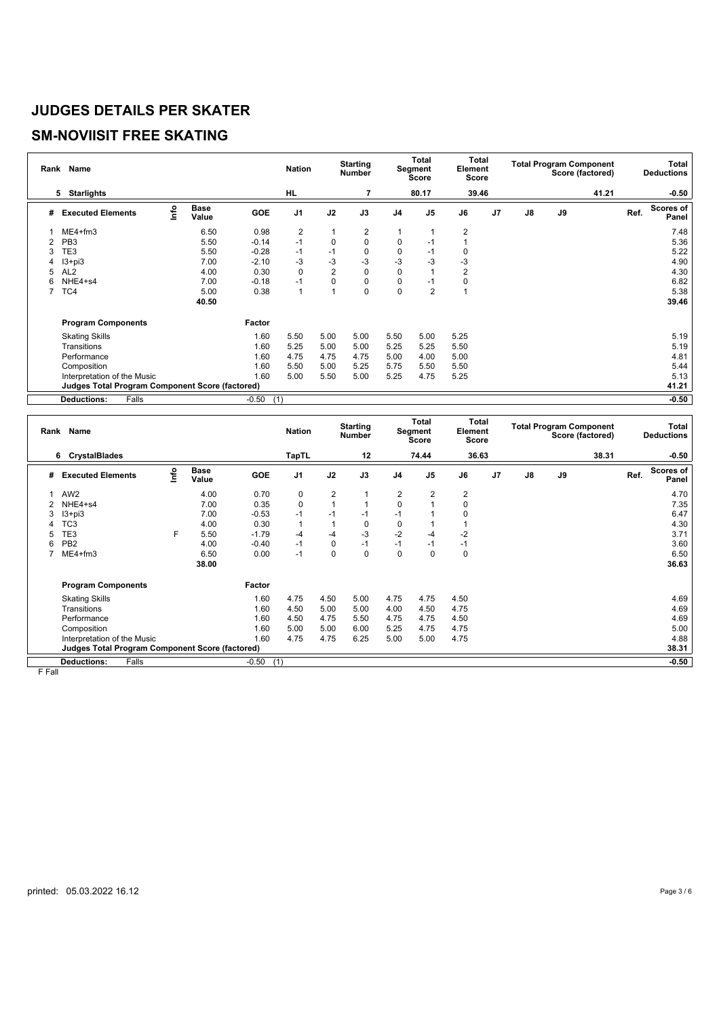#### **SM-NOVIISIT FREE SKATING**

|   | Rank Name                                              |      |                      |         | <b>Nation</b>  |                | <b>Starting</b><br><b>Number</b> |                | Total<br>Segment<br>Score | Total<br>Element<br>Score |                |               |    | <b>Total Program Component</b><br>Score (factored) |      | Total<br><b>Deductions</b> |
|---|--------------------------------------------------------|------|----------------------|---------|----------------|----------------|----------------------------------|----------------|---------------------------|---------------------------|----------------|---------------|----|----------------------------------------------------|------|----------------------------|
|   | <b>Starlights</b><br>5                                 |      |                      |         | <b>HL</b>      |                |                                  |                | 80.17                     | 39.46                     |                |               |    | 41.21                                              |      | $-0.50$                    |
| # | <b>Executed Elements</b>                               | ١nfo | <b>Base</b><br>Value | GOE     | J <sub>1</sub> | J2             | J3                               | J <sub>4</sub> | J <sub>5</sub>            | J6                        | J <sub>7</sub> | $\mathsf{J}8$ | J9 |                                                    | Ref. | <b>Scores of</b><br>Panel  |
|   | $ME4 + fm3$                                            |      | 6.50                 | 0.98    | $\overline{2}$ | 1              | 2                                |                |                           | 2                         |                |               |    |                                                    |      | 7.48                       |
| 2 | PB <sub>3</sub>                                        |      | 5.50                 | $-0.14$ | $-1$           | $\mathbf 0$    | 0                                | 0              | -1                        |                           |                |               |    |                                                    |      | 5.36                       |
| 3 | TE3                                                    |      | 5.50                 | $-0.28$ | $-1$           | $-1$           | 0                                | 0              | -1                        | 0                         |                |               |    |                                                    |      | 5.22                       |
| 4 | $13 + pi3$                                             |      | 7.00                 | $-2.10$ | -3             | $-3$           | $-3$                             | $-3$           | $-3$                      | -3                        |                |               |    |                                                    |      | 4.90                       |
| 5 | AL <sub>2</sub>                                        |      | 4.00                 | 0.30    | $\mathbf 0$    | $\overline{2}$ | 0                                | 0              |                           | 2                         |                |               |    |                                                    |      | 4.30                       |
| 6 | NHE4+s4                                                |      | 7.00                 | $-0.18$ | $-1$           | 0              | 0                                | 0              | -1                        | $\Omega$                  |                |               |    |                                                    |      | 6.82                       |
|   | TC4                                                    |      | 5.00                 | 0.38    | $\overline{1}$ | $\overline{A}$ | 0                                | 0              | $\overline{2}$            |                           |                |               |    |                                                    |      | 5.38                       |
|   |                                                        |      | 40.50                |         |                |                |                                  |                |                           |                           |                |               |    |                                                    |      | 39.46                      |
|   | <b>Program Components</b>                              |      |                      | Factor  |                |                |                                  |                |                           |                           |                |               |    |                                                    |      |                            |
|   | <b>Skating Skills</b>                                  |      |                      | 1.60    | 5.50           | 5.00           | 5.00                             | 5.50           | 5.00                      | 5.25                      |                |               |    |                                                    |      | 5.19                       |
|   | Transitions                                            |      |                      | 1.60    | 5.25           | 5.00           | 5.00                             | 5.25           | 5.25                      | 5.50                      |                |               |    |                                                    |      | 5.19                       |
|   | Performance                                            |      |                      | 1.60    | 4.75           | 4.75           | 4.75                             | 5.00           | 4.00                      | 5.00                      |                |               |    |                                                    |      | 4.81                       |
|   | Composition                                            |      |                      | 1.60    | 5.50           | 5.00           | 5.25                             | 5.75           | 5.50                      | 5.50                      |                |               |    |                                                    |      | 5.44                       |
|   | Interpretation of the Music                            |      |                      | 1.60    | 5.00           | 5.50           | 5.00                             | 5.25           | 4.75                      | 5.25                      |                |               |    |                                                    |      | 5.13                       |
|   | <b>Judges Total Program Component Score (factored)</b> |      |                      |         |                |                |                                  |                |                           |                           |                |               |    |                                                    |      | 41.21                      |
|   | <b>Deductions:</b><br>Falls                            |      |                      | $-0.50$ | (1)            |                |                                  |                |                           |                           |                |               |    |                                                    |      | $-0.50$                    |

|   | Rank Name                                              |    |                      |            | <b>Nation</b>  |                | <b>Starting</b><br><b>Number</b> |          | Total<br>Segment<br>Score | Element<br>Score | Total |               |    | <b>Total Program Component</b><br>Score (factored) |      | Total<br><b>Deductions</b> |
|---|--------------------------------------------------------|----|----------------------|------------|----------------|----------------|----------------------------------|----------|---------------------------|------------------|-------|---------------|----|----------------------------------------------------|------|----------------------------|
|   | <b>CrystalBlades</b><br>6                              |    |                      |            | TapTL          |                | 12                               |          | 74.44                     | 36.63            |       |               |    | 38.31                                              |      | $-0.50$                    |
| # | <b>Executed Elements</b>                               | ۴o | <b>Base</b><br>Value | <b>GOE</b> | J <sub>1</sub> | J2             | J3                               | J4       | J <sub>5</sub>            | J6               | J7    | $\mathsf{J}8$ | J9 |                                                    | Ref. | <b>Scores of</b><br>Panel  |
|   | AW <sub>2</sub>                                        |    | 4.00                 | 0.70       | 0              | $\overline{2}$ | 1                                | 2        | 2                         | $\overline{2}$   |       |               |    |                                                    |      | 4.70                       |
|   | NHE4+s4                                                |    | 7.00                 | 0.35       | $\mathbf 0$    |                |                                  | 0        |                           | 0                |       |               |    |                                                    |      | 7.35                       |
| 3 | $13 + pi3$                                             |    | 7.00                 | $-0.53$    | $-1$           | $-1$           | $-1$                             | $-1$     |                           | 0                |       |               |    |                                                    |      | 6.47                       |
|   | TC <sub>3</sub>                                        |    | 4.00                 | 0.30       | -1             |                | 0                                | 0        |                           |                  |       |               |    |                                                    |      | 4.30                       |
| 5 | TE3                                                    | F  | 5.50                 | $-1.79$    | $-4$           | $-4$           | $-3$                             | $-2$     | -4                        | $-2$             |       |               |    |                                                    |      | 3.71                       |
| 6 | PB <sub>2</sub>                                        |    | 4.00                 | $-0.40$    | $-1$           | 0              | $-1$                             | $-1$     | $-1$                      | $-1$             |       |               |    |                                                    |      | 3.60                       |
|   | ME4+fm3                                                |    | 6.50                 | 0.00       | $-1$           | 0              | 0                                | $\Omega$ | $\Omega$                  | 0                |       |               |    |                                                    |      | 6.50                       |
|   |                                                        |    | 38.00                |            |                |                |                                  |          |                           |                  |       |               |    |                                                    |      | 36.63                      |
|   | <b>Program Components</b>                              |    |                      | Factor     |                |                |                                  |          |                           |                  |       |               |    |                                                    |      |                            |
|   | <b>Skating Skills</b>                                  |    |                      | 1.60       | 4.75           | 4.50           | 5.00                             | 4.75     | 4.75                      | 4.50             |       |               |    |                                                    |      | 4.69                       |
|   | Transitions                                            |    |                      | 1.60       | 4.50           | 5.00           | 5.00                             | 4.00     | 4.50                      | 4.75             |       |               |    |                                                    |      | 4.69                       |
|   | Performance                                            |    |                      | 1.60       | 4.50           | 4.75           | 5.50                             | 4.75     | 4.75                      | 4.50             |       |               |    |                                                    |      | 4.69                       |
|   | Composition                                            |    |                      | 1.60       | 5.00           | 5.00           | 6.00                             | 5.25     | 4.75                      | 4.75             |       |               |    |                                                    |      | 5.00                       |
|   | Interpretation of the Music                            |    |                      | 1.60       | 4.75           | 4.75           | 6.25                             | 5.00     | 5.00                      | 4.75             |       |               |    |                                                    |      | 4.88                       |
|   | <b>Judges Total Program Component Score (factored)</b> |    |                      |            |                |                |                                  |          |                           |                  |       |               |    |                                                    |      | 38.31                      |
|   | Falls<br><b>Deductions:</b>                            |    |                      | $-0.50$    | (1)            |                |                                  |          |                           |                  |       |               |    |                                                    |      | $-0.50$                    |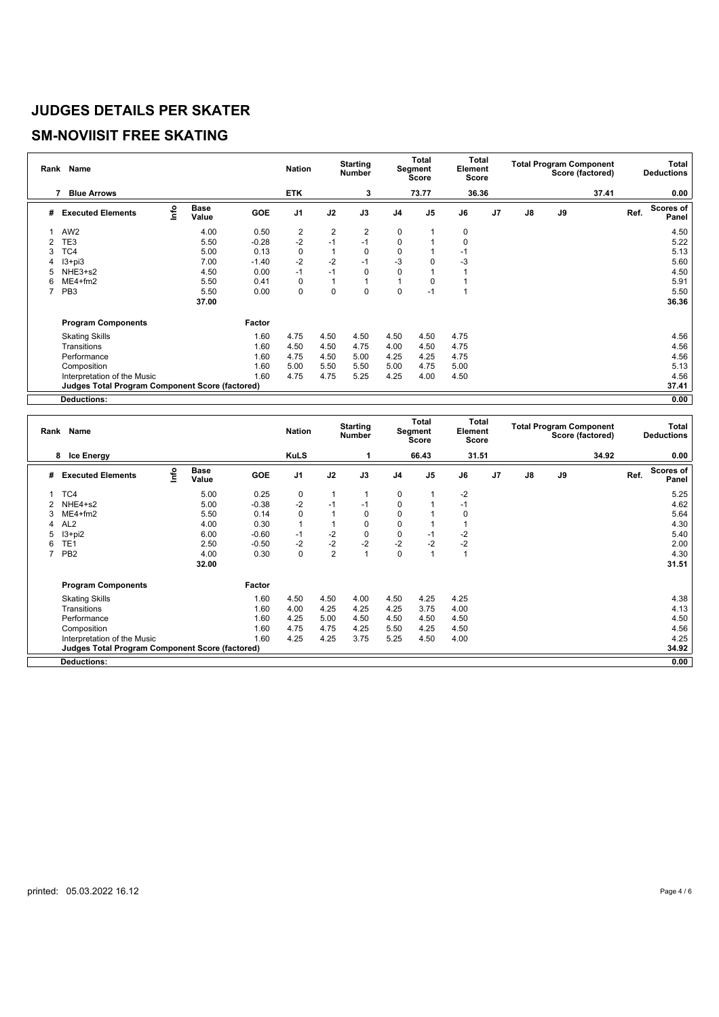# **SM-NOVIISIT FREE SKATING**

|   | Rank Name                                              |      |                      |         | <b>Nation</b>  |                | <b>Starting</b><br><b>Number</b> |                | Total<br>Segment<br>Score | Total<br>Element<br>Score |                |               |    | <b>Total Program Component</b><br>Score (factored) |      | Total<br><b>Deductions</b> |
|---|--------------------------------------------------------|------|----------------------|---------|----------------|----------------|----------------------------------|----------------|---------------------------|---------------------------|----------------|---------------|----|----------------------------------------------------|------|----------------------------|
|   | <b>Blue Arrows</b><br>7                                |      |                      |         | <b>ETK</b>     |                | 3                                |                | 73.77                     | 36.36                     |                |               |    | 37.41                                              |      | 0.00                       |
| # | <b>Executed Elements</b>                               | ١nfo | <b>Base</b><br>Value | GOE     | J <sub>1</sub> | J2             | J3                               | J <sub>4</sub> | J <sub>5</sub>            | J6                        | J <sub>7</sub> | $\mathsf{J}8$ | J9 |                                                    | Ref. | <b>Scores of</b><br>Panel  |
|   | AW <sub>2</sub>                                        |      | 4.00                 | 0.50    | $\overline{2}$ | $\overline{2}$ | 2                                | 0              |                           | 0                         |                |               |    |                                                    |      | 4.50                       |
| 2 | TE3                                                    |      | 5.50                 | $-0.28$ | $-2$           | $-1$           | $-1$                             | 0              |                           | $\Omega$                  |                |               |    |                                                    |      | 5.22                       |
| 3 | TC4                                                    |      | 5.00                 | 0.13    | $\mathbf 0$    |                | 0                                | 0              |                           | $-1$                      |                |               |    |                                                    |      | 5.13                       |
| 4 | $13 + pi3$                                             |      | 7.00                 | $-1.40$ | $-2$           | $-2$           | $-1$                             | $-3$           | 0                         | -3                        |                |               |    |                                                    |      | 5.60                       |
| 5 | NHE3+s2                                                |      | 4.50                 | 0.00    | $-1$           | $-1$           | 0                                | $\mathbf 0$    |                           |                           |                |               |    |                                                    |      | 4.50                       |
| 6 | $ME4 + fm2$                                            |      | 5.50                 | 0.41    | 0              |                |                                  |                |                           |                           |                |               |    |                                                    |      | 5.91                       |
|   | PB <sub>3</sub>                                        |      | 5.50                 | 0.00    | $\mathbf 0$    | 0              | 0                                | $\mathbf 0$    | -1                        |                           |                |               |    |                                                    |      | 5.50                       |
|   |                                                        |      | 37.00                |         |                |                |                                  |                |                           |                           |                |               |    |                                                    |      | 36.36                      |
|   | <b>Program Components</b>                              |      |                      | Factor  |                |                |                                  |                |                           |                           |                |               |    |                                                    |      |                            |
|   | <b>Skating Skills</b>                                  |      |                      | 1.60    | 4.75           | 4.50           | 4.50                             | 4.50           | 4.50                      | 4.75                      |                |               |    |                                                    |      | 4.56                       |
|   | Transitions                                            |      |                      | 1.60    | 4.50           | 4.50           | 4.75                             | 4.00           | 4.50                      | 4.75                      |                |               |    |                                                    |      | 4.56                       |
|   | Performance                                            |      |                      | 1.60    | 4.75           | 4.50           | 5.00                             | 4.25           | 4.25                      | 4.75                      |                |               |    |                                                    |      | 4.56                       |
|   | Composition                                            |      |                      | 1.60    | 5.00           | 5.50           | 5.50                             | 5.00           | 4.75                      | 5.00                      |                |               |    |                                                    |      | 5.13                       |
|   | Interpretation of the Music                            |      |                      | 1.60    | 4.75           | 4.75           | 5.25                             | 4.25           | 4.00                      | 4.50                      |                |               |    |                                                    |      | 4.56                       |
|   | <b>Judges Total Program Component Score (factored)</b> |      |                      |         |                |                |                                  |                |                           |                           |                |               |    |                                                    |      | 37.41                      |
|   | <b>Deductions:</b>                                     |      |                      |         |                |                |                                  |                |                           |                           |                |               |    |                                                    |      | 0.00                       |

|   | Rank Name                                              |      |                      |            | <b>Nation</b>  |                | <b>Starting</b><br><b>Number</b> |                | Total<br>Segment<br><b>Score</b> | Element<br><b>Score</b> | <b>Total</b>   |               |    | <b>Total Program Component</b><br>Score (factored) |      | Total<br><b>Deductions</b> |
|---|--------------------------------------------------------|------|----------------------|------------|----------------|----------------|----------------------------------|----------------|----------------------------------|-------------------------|----------------|---------------|----|----------------------------------------------------|------|----------------------------|
|   | 8 Ice Energy                                           |      |                      |            | <b>KuLS</b>    |                |                                  |                | 66.43                            | 31.51                   |                |               |    | 34.92                                              |      | 0.00                       |
| # | <b>Executed Elements</b>                               | lnfo | <b>Base</b><br>Value | <b>GOE</b> | J <sub>1</sub> | J2             | J3                               | J <sub>4</sub> | J <sub>5</sub>                   | J6                      | J <sub>7</sub> | $\mathsf{J}8$ | J9 |                                                    | Ref. | Scores of<br>Panel         |
|   | TC4                                                    |      | 5.00                 | 0.25       | 0              |                |                                  | 0              |                                  | $-2$                    |                |               |    |                                                    |      | 5.25                       |
|   | NHE4+s2                                                |      | 5.00                 | $-0.38$    | $-2$           | $-1$           | $-1$                             | 0              |                                  | $-1$                    |                |               |    |                                                    |      | 4.62                       |
|   | $ME4 + fm2$                                            |      | 5.50                 | 0.14       | $\Omega$       |                | $\mathbf 0$                      | 0              |                                  | $\Omega$                |                |               |    |                                                    |      | 5.64                       |
|   | AL <sub>2</sub>                                        |      | 4.00                 | 0.30       | 1              |                | $\mathbf 0$                      | $\mathbf 0$    |                                  |                         |                |               |    |                                                    |      | 4.30                       |
| 5 | $13 + pi2$                                             |      | 6.00                 | $-0.60$    | $-1$           | $-2$           | $\mathbf 0$                      | 0              | $-1$                             | $-2$                    |                |               |    |                                                    |      | 5.40                       |
| 6 | TE <sub>1</sub>                                        |      | 2.50                 | $-0.50$    | $-2$           | $-2$           | $-2$                             | $-2$           | $-2$                             | $-2$                    |                |               |    |                                                    |      | 2.00                       |
|   | PB <sub>2</sub>                                        |      | 4.00                 | 0.30       | 0              | $\overline{2}$ | $\overline{1}$                   | 0              |                                  |                         |                |               |    |                                                    |      | 4.30                       |
|   |                                                        |      | 32.00                |            |                |                |                                  |                |                                  |                         |                |               |    |                                                    |      | 31.51                      |
|   | <b>Program Components</b>                              |      |                      | Factor     |                |                |                                  |                |                                  |                         |                |               |    |                                                    |      |                            |
|   | <b>Skating Skills</b>                                  |      |                      | 1.60       | 4.50           | 4.50           | 4.00                             | 4.50           | 4.25                             | 4.25                    |                |               |    |                                                    |      | 4.38                       |
|   | Transitions                                            |      |                      | 1.60       | 4.00           | 4.25           | 4.25                             | 4.25           | 3.75                             | 4.00                    |                |               |    |                                                    |      | 4.13                       |
|   | Performance                                            |      |                      | 1.60       | 4.25           | 5.00           | 4.50                             | 4.50           | 4.50                             | 4.50                    |                |               |    |                                                    |      | 4.50                       |
|   | Composition                                            |      |                      | 1.60       | 4.75           | 4.75           | 4.25                             | 5.50           | 4.25                             | 4.50                    |                |               |    |                                                    |      | 4.56                       |
|   | Interpretation of the Music                            |      |                      | 1.60       | 4.25           | 4.25           | 3.75                             | 5.25           | 4.50                             | 4.00                    |                |               |    |                                                    |      | 4.25                       |
|   | <b>Judges Total Program Component Score (factored)</b> |      |                      |            |                |                |                                  |                |                                  |                         |                |               |    |                                                    |      | 34.92                      |
|   | <b>Deductions:</b>                                     |      |                      |            |                |                |                                  |                |                                  |                         |                |               |    |                                                    |      | 0.00                       |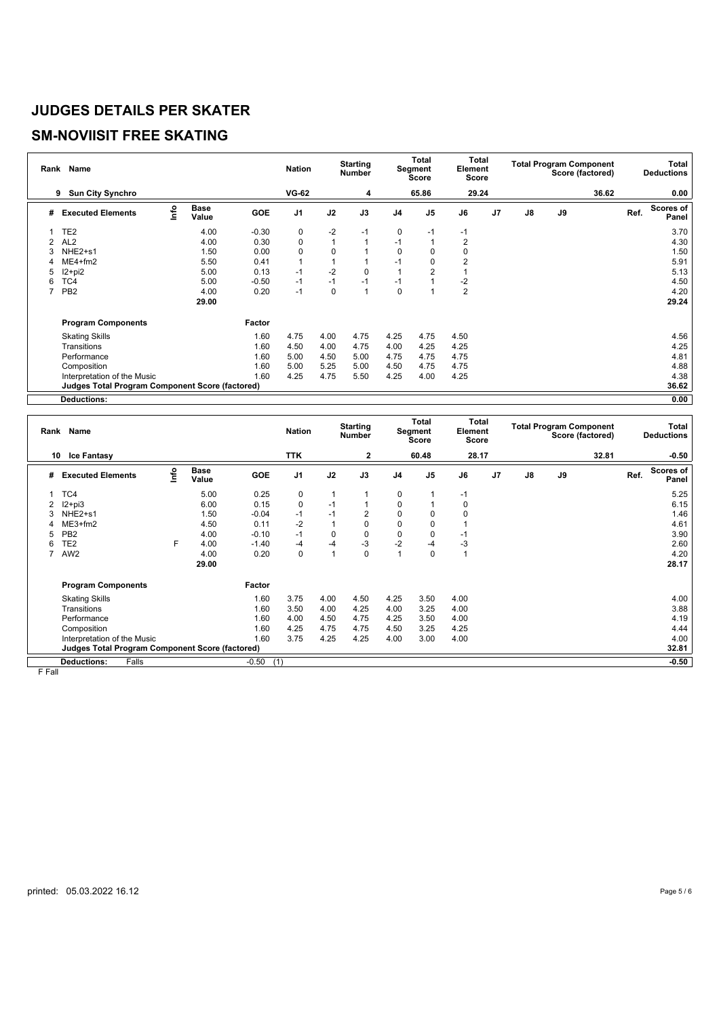## **SM-NOVIISIT FREE SKATING**

|   | Rank Name                                              |      |                      |         | <b>Nation</b>  |      | <b>Starting</b><br><b>Number</b> |                | Total<br>Segment<br>Score | Total<br>Element<br>Score |                |               |    | <b>Total Program Component</b><br>Score (factored) |      | Total<br><b>Deductions</b> |
|---|--------------------------------------------------------|------|----------------------|---------|----------------|------|----------------------------------|----------------|---------------------------|---------------------------|----------------|---------------|----|----------------------------------------------------|------|----------------------------|
|   | <b>Sun City Synchro</b><br>9                           |      |                      |         | <b>VG-62</b>   |      | 4                                |                | 65.86                     | 29.24                     |                |               |    | 36.62                                              |      | 0.00                       |
| # | <b>Executed Elements</b>                               | ١nfo | <b>Base</b><br>Value | GOE     | J <sub>1</sub> | J2   | J3                               | J <sub>4</sub> | J <sub>5</sub>            | J6                        | J <sub>7</sub> | $\mathsf{J}8$ | J9 |                                                    | Ref. | <b>Scores of</b><br>Panel  |
|   | TE <sub>2</sub>                                        |      | 4.00                 | $-0.30$ | 0              | $-2$ | $-1$                             | 0              | $-1$                      | $-1$                      |                |               |    |                                                    |      | 3.70                       |
| 2 | AL <sub>2</sub>                                        |      | 4.00                 | 0.30    | $\pmb{0}$      | 1    |                                  | $-1$           |                           | 2                         |                |               |    |                                                    |      | 4.30                       |
| 3 | NHE <sub>2+s1</sub>                                    |      | 1.50                 | 0.00    | $\mathbf 0$    | 0    |                                  | $\mathbf 0$    | 0                         | $\Omega$                  |                |               |    |                                                    |      | 1.50                       |
| 4 | $ME4 + fm2$                                            |      | 5.50                 | 0.41    |                |      |                                  | $-1$           | 0                         | 2                         |                |               |    |                                                    |      | 5.91                       |
| 5 | $12+pi2$                                               |      | 5.00                 | 0.13    | $-1$           | $-2$ | 0                                |                | 2                         |                           |                |               |    |                                                    |      | 5.13                       |
| 6 | TC4                                                    |      | 5.00                 | $-0.50$ | $-1$           | $-1$ | $-1$                             | $-1$           |                           | $-2$                      |                |               |    |                                                    |      | 4.50                       |
|   | PB <sub>2</sub>                                        |      | 4.00                 | 0.20    | $-1$           | 0    |                                  | $\mathbf 0$    |                           | $\overline{2}$            |                |               |    |                                                    |      | 4.20                       |
|   |                                                        |      | 29.00                |         |                |      |                                  |                |                           |                           |                |               |    |                                                    |      | 29.24                      |
|   | <b>Program Components</b>                              |      |                      | Factor  |                |      |                                  |                |                           |                           |                |               |    |                                                    |      |                            |
|   | <b>Skating Skills</b>                                  |      |                      | 1.60    | 4.75           | 4.00 | 4.75                             | 4.25           | 4.75                      | 4.50                      |                |               |    |                                                    |      | 4.56                       |
|   | Transitions                                            |      |                      | 1.60    | 4.50           | 4.00 | 4.75                             | 4.00           | 4.25                      | 4.25                      |                |               |    |                                                    |      | 4.25                       |
|   | Performance                                            |      |                      | 1.60    | 5.00           | 4.50 | 5.00                             | 4.75           | 4.75                      | 4.75                      |                |               |    |                                                    |      | 4.81                       |
|   | Composition                                            |      |                      | 1.60    | 5.00           | 5.25 | 5.00                             | 4.50           | 4.75                      | 4.75                      |                |               |    |                                                    |      | 4.88                       |
|   | Interpretation of the Music                            |      |                      | 1.60    | 4.25           | 4.75 | 5.50                             | 4.25           | 4.00                      | 4.25                      |                |               |    |                                                    |      | 4.38                       |
|   | <b>Judges Total Program Component Score (factored)</b> |      |                      |         |                |      |                                  |                |                           |                           |                |               |    |                                                    |      | 36.62                      |
|   | <b>Deductions:</b>                                     |      |                      |         |                |      |                                  |                |                           |                           |                |               |    |                                                    |      | 0.00                       |

|                | Rank Name                                       |      |                      |         | <b>Nation</b>  |                | <b>Starting</b><br>Number |                | Total<br>Segment<br>Score | <b>Total</b><br>Element<br>Score |                |    | <b>Total Program Component</b><br>Score (factored) |       |      | Total<br><b>Deductions</b> |
|----------------|-------------------------------------------------|------|----------------------|---------|----------------|----------------|---------------------------|----------------|---------------------------|----------------------------------|----------------|----|----------------------------------------------------|-------|------|----------------------------|
|                | <b>Ice Fantasy</b><br>10                        |      |                      |         | <b>TTK</b>     |                | $\mathbf{2}$              |                | 60.48                     | 28.17                            |                |    |                                                    | 32.81 |      | $-0.50$                    |
| #              | <b>Executed Elements</b>                        | lnfo | <b>Base</b><br>Value | GOE     | J <sub>1</sub> | J2             | J3                        | J <sub>4</sub> | J <sub>5</sub>            | J6                               | J <sub>7</sub> | J8 | J9                                                 |       | Ref. | Scores of<br>Panel         |
| 1              | TC4                                             |      | 5.00                 | 0.25    | 0              | 1              |                           | 0              |                           | -1                               |                |    |                                                    |       |      | 5.25                       |
|                | $12 + pi3$                                      |      | 6.00                 | 0.15    | $\mathbf 0$    | $-1$           |                           | 0              |                           | 0                                |                |    |                                                    |       |      | 6.15                       |
|                | NHE <sub>2+s1</sub>                             |      | 1.50                 | $-0.04$ | -1             | $-1$           | $\overline{2}$            | 0              | 0                         |                                  |                |    |                                                    |       |      | 1.46                       |
|                | $ME3+fm2$                                       |      | 4.50                 | 0.11    | $-2$           | $\overline{1}$ | 0                         | 0              | 0                         |                                  |                |    |                                                    |       |      | 4.61                       |
| 5              | PB <sub>2</sub>                                 |      | 4.00                 | $-0.10$ | $-1$           | 0              | $\mathbf 0$               | 0              | 0                         | -1                               |                |    |                                                    |       |      | 3.90                       |
| 6              | TE <sub>2</sub>                                 | F    | 4.00                 | $-1.40$ | -4             | $-4$           | $-3$                      | $-2$           | -4                        | -3                               |                |    |                                                    |       |      | 2.60                       |
| $\overline{7}$ | AW <sub>2</sub>                                 |      | 4.00                 | 0.20    | 0              | 1              | $\mathbf 0$               |                | 0                         |                                  |                |    |                                                    |       |      | 4.20                       |
|                |                                                 |      | 29.00                |         |                |                |                           |                |                           |                                  |                |    |                                                    |       |      | 28.17                      |
|                | <b>Program Components</b>                       |      |                      | Factor  |                |                |                           |                |                           |                                  |                |    |                                                    |       |      |                            |
|                | <b>Skating Skills</b>                           |      |                      | 1.60    | 3.75           | 4.00           | 4.50                      | 4.25           | 3.50                      | 4.00                             |                |    |                                                    |       |      | 4.00                       |
|                | Transitions                                     |      |                      | 1.60    | 3.50           | 4.00           | 4.25                      | 4.00           | 3.25                      | 4.00                             |                |    |                                                    |       |      | 3.88                       |
|                | Performance                                     |      |                      | 1.60    | 4.00           | 4.50           | 4.75                      | 4.25           | 3.50                      | 4.00                             |                |    |                                                    |       |      | 4.19                       |
|                | Composition                                     |      |                      | 1.60    | 4.25           | 4.75           | 4.75                      | 4.50           | 3.25                      | 4.25                             |                |    |                                                    |       |      | 4.44                       |
|                | Interpretation of the Music                     |      |                      | 1.60    | 3.75           | 4.25           | 4.25                      | 4.00           | 3.00                      | 4.00                             |                |    |                                                    |       |      | 4.00                       |
|                | Judges Total Program Component Score (factored) |      |                      |         |                |                |                           |                |                           |                                  |                |    |                                                    |       |      | 32.81                      |
|                | <b>Deductions:</b><br>Falls                     |      |                      | $-0.50$ | (1)            |                |                           |                |                           |                                  |                |    |                                                    |       |      | $-0.50$                    |